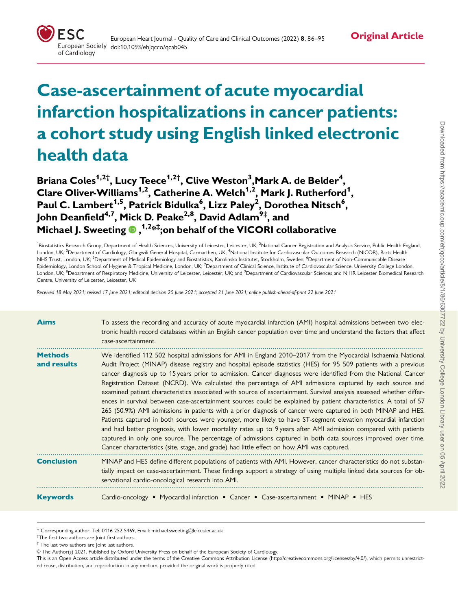# **Original Article**

# Case-ascertainment of acute myocardial infarction hospitalizations in cancer patients: a cohort study using English linked electronic health data

Briana Coles $^{\rm 1,2\dagger}$ , Lucy Teece $^{\rm 1,2\dagger}$ , Clive Weston $^{\rm 3}$ ,Mark A. de Belder $^{\rm 4}$ , Clare Oliver-Williams<sup>1,2</sup>, Catherine A. Welch<sup>1,2</sup>, Mark J. Rutherford<sup>1</sup>, Paul C. Lambert<sup>1,5</sup>, Patrick Bidulka<sup>6</sup>, Lizz Paley<sup>2</sup>, Dorothea Nitsch<sup>6</sup>, John Deanfield<sup>4,7</sup>, Mick D. Peake<sup>2,8</sup>, David Adlam<sup>9‡</sup>, and Michael J. Sweeting  $\mathbf{0}$  , <sup>1,2</sup>\*<sup>‡</sup>;on behalf of the VICORI collaborative

<sup>1</sup>Biostatistics Research Group, Department of Health Sciences, University of Leicester, Leicester, UK; <sup>2</sup>National Cancer Registration and Analysis Service, Public Health England, London, UK; <sup>3</sup>Department of Cardiology, Glangwili General Hospital, Carmarthen, UK; <sup>4</sup>National Institute for Cardiovascular Outcomes Research (NICOR), Barts Health NHS Trust, London, UK; <sup>5</sup>Department of Medical Epidemiology and Biostatistics, Karolinska Institutet, Stockholm, Sweden; <sup>6</sup>Department of Non-Communicable Disease Epidemiology, London School of Hygiene & Tropical Medicine, London, UK; <sup>7</sup>Department of Clinical Science, Institute of Cardiovascular Science, University College London. London, UK; <sup>8</sup>Department of Respiratory Medicine, University of Leicester, Leicester, UK; and <sup>9</sup>Department of Cardiovascular Sciences and NIHR Leicester Biomedical Research Centre, University of Leicester, Leicester, UK

Received 18 May 2021; revised 17 June 2021; editorial decision 20 June 2021; accepted 21 June 2021; online publish-ahead-of-print 22 June 2021

| <b>Aims</b>                   | To assess the recording and accuracy of acute myocardial infarction (AMI) hospital admissions between two elec-<br>tronic health record databases within an English cancer population over time and understand the factors that affect<br>case-ascertainment.                                                                                                                                                                                                                                                                                                                                                                                                                                                                                                                                                                                                                                                                                                                                                                                                                                                                                                                                                                                                              |
|-------------------------------|----------------------------------------------------------------------------------------------------------------------------------------------------------------------------------------------------------------------------------------------------------------------------------------------------------------------------------------------------------------------------------------------------------------------------------------------------------------------------------------------------------------------------------------------------------------------------------------------------------------------------------------------------------------------------------------------------------------------------------------------------------------------------------------------------------------------------------------------------------------------------------------------------------------------------------------------------------------------------------------------------------------------------------------------------------------------------------------------------------------------------------------------------------------------------------------------------------------------------------------------------------------------------|
| <b>Methods</b><br>and results | We identified 112 502 hospital admissions for AMI in England 2010–2017 from the Myocardial Ischaemia National<br>Audit Project (MINAP) disease registry and hospital episode statistics (HES) for 95 509 patients with a previous<br>cancer diagnosis up to 15 years prior to admission. Cancer diagnoses were identified from the National Cancer<br>Registration Dataset (NCRD). We calculated the percentage of AMI admissions captured by each source and<br>examined patient characteristics associated with source of ascertainment. Survival analysis assessed whether differ-<br>ences in survival between case-ascertainment sources could be explained by patient characteristics. A total of 57<br>265 (50.9%) AMI admissions in patients with a prior diagnosis of cancer were captured in both MINAP and HES.<br>Patients captured in both sources were younger, more likely to have ST-segment elevation myocardial infarction<br>and had better prognosis, with lower mortality rates up to 9 years after AMI admission compared with patients<br>captured in only one source. The percentage of admissions captured in both data sources improved over time.<br>Cancer characteristics (site, stage, and grade) had little effect on how AMI was captured. |
| <b>Conclusion</b>             | MINAP and HES define different populations of patients with AMI. However, cancer characteristics do not substan-<br>tially impact on case-ascertainment. These findings support a strategy of using multiple linked data sources for ob-<br>servational cardio-oncological research into AMI.                                                                                                                                                                                                                                                                                                                                                                                                                                                                                                                                                                                                                                                                                                                                                                                                                                                                                                                                                                              |
| <b>Keywords</b>               | Cardio-oncology • Myocardial infarction • Cancer • Case-ascertainment • MINAP • HES                                                                                                                                                                                                                                                                                                                                                                                                                                                                                                                                                                                                                                                                                                                                                                                                                                                                                                                                                                                                                                                                                                                                                                                        |

<sup>\*</sup> Corresponding author. Tel: 0116 252 5469, Email: michael.sweeting@leicester.ac.uk

- † The first two authors are Joint first authors.
- ‡ The last two authors are Joint last authors.

V<sup>C</sup> The Author(s) 2021. Published by Oxford University Press on behalf of the European Society of Cardiology.

This is an Open Access article distributed under the terms of the Creative Commons Attribution License ([http://creativecommons.org/licenses/by/4.0/\)](http://creativecommons.org/licenses/by/4.0/), which permits unrestricted reuse, distribution, and reproduction in any medium, provided the original work is properly cited.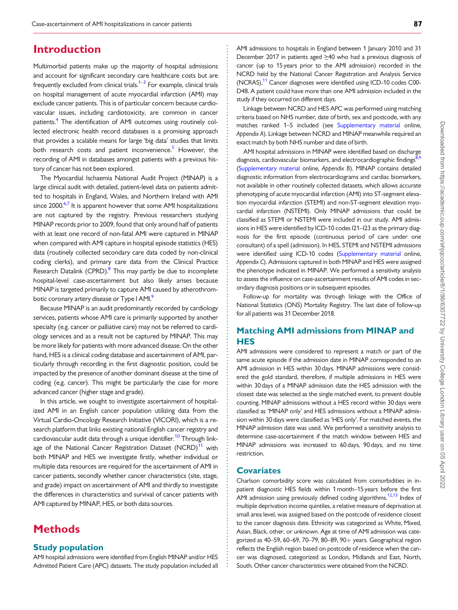### <span id="page-1-0"></span>**Introduction**

Multimorbid patients make up the majority of hospital admissions and account for significant secondary care healthcare costs but are frequently excluded from clinical trials.<sup>1–3</sup> For example, clinical trials on hospital management of acute myocardial infarction (AMI) may exclude cancer patients. This is of particular concern because cardiovascular issues, including cardiotoxicity, are common in cancer patients.<sup>[4](#page-9-0)</sup> The identification of AMI outcomes using routinely collected electronic health record databases is a promising approach that provides a scalable means for large 'big data' studies that limits both research costs and patient inconvenience. $5$  However, the recording of AMI in databases amongst patients with a previous history of cancer has not been explored.

The Myocardial Ischaemia National Audit Project (MINAP) is a large clinical audit with detailed, patient-level data on patients admitted to hospitals in England, Wales, and Northern Ireland with AMI since 2000.<sup>[6,7](#page-9-0)</sup> It is apparent however that some AMI hospitalizations are not captured by the registry. Previous researchers studying MINAP records prior to 2009, found that only around half of patients with at least one record of non-fatal AMI were captured in MINAP when compared with AMI capture in hospital episode statistics (HES) data (routinely collected secondary care data coded by non-clinical coding clerks), and primary care data from the Clinical Practice Research Datalink (CPRD).<sup>[8](#page-9-0)</sup> This may partly be due to incomplete hospital-level case-ascertainment but also likely arises because MINAP is targeted primarily to capture AMI caused by atherothrombotic coronary artery disease or Type I AMI.<sup>9</sup>

Because MINAP is an audit predominantly recorded by cardiology services, patients whose AMI care is primarily supported by another specialty (e.g. cancer or palliative care) may not be referred to cardiology services and as a result not be captured by MINAP. This may be more likely for patients with more advanced disease. On the other hand, HES is a clinical coding database and ascertainment of AMI, particularly through recording in the first diagnostic position, could be impacted by the presence of another dominant disease at the time of coding (e.g. cancer). This might be particularly the case for more advanced cancer (higher stage and grade).

In this article, we sought to investigate ascertainment of hospitalized AMI in an English cancer population utilizing data from the Virtual Cardio-Oncology Research Initiative (VICORI), which is a research platform that links existing national English cancer registry and cardiovascular audit data through a unique identifier.<sup>10</sup> Through link-age of the National Cancer Registration Dataset (NCRD)<sup>[11](#page-9-0)</sup> with both MINAP and HES we investigate firstly, whether individual or multiple data resources are required for the ascertainment of AMI in cancer patients, secondly whether cancer characteristics (site, stage, and grade) impact on ascertainment of AMI and thirdly to investigate the differences in characteristics and survival of cancer patients with AMI captured by MINAP, HES, or both data sources.

## **Methods**

#### Study population

AMI hospital admissions were identified from English MINAP and/or HES Admitted Patient Care (APC) datasets. The study population included all AMI admissions to hospitals in England between 1 January 2010 and 31 December 2017 in patients aged  $\geq$  40 who had a previous diagnosis of cancer (up to 15 years prior to the AMI admission) recorded in the NCRD held by the National Cancer Registration and Analysis Service (NCRAS).[11](#page-9-0) Cancer diagnoses were identified using ICD-10 codes C00- D48. A patient could have more than one AMI admission included in the study if they occurred on different days.

Linkage between NCRD and HES APC was performed using matching criteria based on NHS number, date of birth, sex and postcode, with any matches ranked 1–5 included (see [Supplementary material](https://academic.oup.com/ehjqcco/article-lookup/doi/10.1093/ehjqcco/qcab045#supplementary-data) online, Appendix A). Linkage between NCRD and MINAP meanwhile required an exact match by both NHS number and date of birth.

AMI hospital admissions in MINAP were identified based on discharge diagnosis, cardiovascular biomarkers, and electrocardiographic findings<sup>[8,9](#page-9-0)</sup> [\(Supplementary material](https://academic.oup.com/ehjqcco/article-lookup/doi/10.1093/ehjqcco/qcab045#supplementary-data) online, Appendix B). MINAP contains detailed diagnostic information from electrocardiograms and cardiac biomarkers, not available in other routinely collected datasets, which allows accurate phenotyping of acute myocardial infarction (AMI) into ST-segment elevation myocardial infarction (STEMI) and non-ST-segment elevation myocardial infarction (NSTEMI). Only MINAP admissions that could be classified as STEMI or NSTEMI were included in our study. AMI admissions in HES were identified by ICD-10 codes I21–I23 as the primary diagnosis for the first episode (continuous period of care under one consultant) of a spell (admission). In HES, STEMI and NSTEMI admissions were identified using ICD-10 codes ([Supplementary material](https://academic.oup.com/ehjqcco/article-lookup/doi/10.1093/ehjqcco/qcab045#supplementary-data) online, Appendix C). Admissions captured in both MINAP and HES were assigned the phenotype indicated in MINAP. We performed a sensitivity analysis to assess the influence on case-ascertainment results of AMI codes in secondary diagnosis positions or in subsequent episodes.

Follow-up for mortality was through linkage with the Office of National Statistics (ONS) Mortality Registry. The last date of follow-up for all patients was 31 December 2018.

### Matching AMI admissions from MINAP and **HES**

AMI admissions were considered to represent a match or part of the same acute episode if the admission date in MINAP corresponded to an AMI admission in HES within 30 days. MINAP admissions were considered the gold standard, therefore, if multiple admissions in HES were within 30 days of a MINAP admission date the HES admission with the closest date was selected as the single matched event, to prevent double counting. MINAP admissions without a HES record within 30 days were classified as 'MINAP only' and HES admissions without a MINAP admission within 30 days were classified as 'HES only'. For matched events, the MINAP admission date was used. We performed a sensitivity analysis to determine case-ascertainment if the match window between HES and MINAP admissions was increased to 60 days, 90 days, and no time restriction.

#### **Covariates**

. . . . . . . . . . . . . . . . . . . . . . . . . . . . . . . . . . . . . . . . . . . . . . . . . . . . . . . . . . . . . . . . . . . . . . . . . . . . . . . . . . . . . . . . . . . . . . . . . . . . . . . . . . . . . . . . . . . . . . . . . . . . . . . . . . . . . . . . . . . . . . . . . . . . . . . . . . . . . . . . . . . . . . . . . . . .

Charlson comorbidity score was calculated from comorbidities in inpatient diagnostic HES fields within 1 month–15 years before the first AMI admission using previously defined coding algorithms.<sup>[12,13](#page-9-0)</sup> Index of multiple deprivation income quintiles, a relative measure of deprivation at small area level, was assigned based on the postcode of residence closest to the cancer diagnosis date. Ethnicity was categorized as White, Mixed, Asian, Black, other, or unknown. Age at time of AMI admission was categorized as 40–59, 60–69, 70–79, 80–89, 90 $+$  years. Geographical region reflects the English region based on postcode of residence when the cancer was diagnosed, categorized as London, Midlands and East, North, South. Other cancer characteristics were obtained from the NCRD.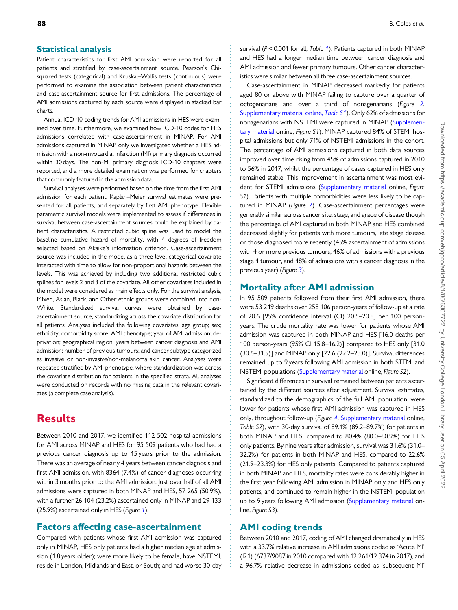#### . Statistical analysis

Patient characteristics for first AMI admission were reported for all patients and stratified by case-ascertainment source. Pearson's Chisquared tests (categorical) and Kruskal–Wallis tests (continuous) were performed to examine the association between patient characteristics and case-ascertainment source for first admissions. The percentage of AMI admissions captured by each source were displayed in stacked bar charts.

Annual ICD-10 coding trends for AMI admissions in HES were examined over time. Furthermore, we examined how ICD-10 codes for HES admissions correlated with case-ascertainment in MINAP. For AMI admissions captured in MINAP only we investigated whether a HES admission with a non-myocardial infarction (MI) primary diagnosis occurred within 30 days. The non-MI primary diagnosis ICD-10 chapters were reported, and a more detailed examination was performed for chapters that commonly featured in the admission data.

Survival analyses were performed based on the time from the first AMI admission for each patient. Kaplan–Meier survival estimates were presented for all patients, and separately by first AMI phenotype. Flexible parametric survival models were implemented to assess if differences in survival between case-ascertainment sources could be explained by patient characteristics. A restricted cubic spline was used to model the baseline cumulative hazard of mortality, with 4 degrees of freedom selected based on Akaike's information criterion. Case-ascertainment source was included in the model as a three-level categorical covariate interacted with time to allow for non-proportional hazards between the levels. This was achieved by including two additional restricted cubic splines for levels 2 and 3 of the covariate. All other covariates included in the model were considered as main effects only. For the survival analysis, Mixed, Asian, Black, and Other ethnic groups were combined into non-White. Standardized survival curves were obtained by caseascertainment source, standardizing across the covariate distribution for all patients. Analyses included the following covariates: age group; sex; ethnicity; comorbidity score; AMI phenotype; year of AMI admission; deprivation; geographical region; years between cancer diagnosis and AMI admission; number of previous tumours; and cancer subtype categorized as invasive or non-invasive/non-melanoma skin cancer. Analyses were repeated stratified by AMI phenotype, where standardization was across the covariate distribution for patients in the specified strata. All analyses were conducted on records with no missing data in the relevant covariates (a complete case analysis).

## **Results**

Between 2010 and 2017, we identified 112 502 hospital admissions for AMI across MINAP and HES for 95 509 patients who had had a previous cancer diagnosis up to 15 years prior to the admission. There was an average of nearly 4 years between cancer diagnosis and first AMI admission, with 8364 (7.4%) of cancer diagnoses occurring within 3 months prior to the AMI admission. Just over half of all AMI admissions were captured in both MINAP and HES, 57 265 (50.9%), with a further 26 104 (23.2%) ascertained only in MINAP and 29 133 (25.9%) ascertained only in HES (Figure [1](#page-3-0)).

### Factors affecting case-ascertainment

Compared with patients whose first AMI admission was captured only in MINAP, HES only patients had a higher median age at admission (1.8 years older); were more likely to be female, have NSTEMI, reside in London, Midlands and East, or South; and had worse 30-day

survival ( $P < 0.001$  $P < 0.001$  for all, Table 1). Patients captured in both MINAP and HES had a longer median time between cancer diagnosis and AMI admission and fewer primary tumours. Other cancer characteristics were similar between all three case-ascertainment sources.

Case-ascertainment in MINAP decreased markedly for patients aged 80 or above with MINAP failing to capture over a quarter of octogenarians and over a third of nonagenarians (Figure [2](#page-6-0), [Supplementary material online,](https://academic.oup.com/ehjqcco/article-lookup/doi/10.1093/ehjqcco/qcab045#supplementary-data) Table S1). Only 62% of admissions for nonagenarians with NSTEMI were captured in MINAP ([Supplemen](https://academic.oup.com/ehjqcco/article-lookup/doi/10.1093/ehjqcco/qcab045#supplementary-data)[tary material](https://academic.oup.com/ehjqcco/article-lookup/doi/10.1093/ehjqcco/qcab045#supplementary-data) online, Figure S1). MINAP captured 84% of STEMI hospital admissions but only 71% of NSTEMI admissions in the cohort. The percentage of AMI admissions captured in both data sources improved over time rising from 45% of admissions captured in 2010 to 56% in 2017, whilst the percentage of cases captured in HES only remained stable. This improvement in ascertainment was most evident for STEMI admissions [\(Supplementary material](https://academic.oup.com/ehjqcco/article-lookup/doi/10.1093/ehjqcco/qcab045#supplementary-data) online, Figure S1). Patients with multiple comorbidities were less likely to be captured in MINAP (Figure [2](#page-6-0)). Case-ascertainment percentages were generally similar across cancer site, stage, and grade of disease though the percentage of AMI captured in both MINAP and HES combined decreased slightly for patients with more tumours, late stage disease or those diagnosed more recently (45% ascertainment of admissions with 4 or more previous tumours, 46% of admissions with a previous stage 4 tumour, and 48% of admissions with a cancer diagnosis in the previous year) (Figure [3](#page-7-0)).

#### Mortality after AMI admission

In 95 509 patients followed from their first AMI admission, there were 53 249 deaths over 258 106 person-years of follow-up at a rate of 20.6 [95% confidence interval (CI) 20.5–20.8] per 100 personyears. The crude mortality rate was lower for patients whose AMI admission was captured in both MINAP and HES [16.0 deaths per 100 person-years (95% CI 15.8–16.2)] compared to HES only [31.0 (30.6–31.5)] and MINAP only [22.6 (22.2–23.0)]. Survival differences remained up to 9 years following AMI admission in both STEMI and NSTEMI populations [\(Supplementary material](https://academic.oup.com/ehjqcco/article-lookup/doi/10.1093/ehjqcco/qcab045#supplementary-data) online, Figure S2).

Significant differences in survival remained between patients ascertained by the different sources after adjustment. Survival estimates, standardized to the demographics of the full AMI population, were lower for patients whose first AMI admission was captured in HES only, throughout follow-up (Figure [4](#page-8-0), [Supplementary material](https://academic.oup.com/ehjqcco/article-lookup/doi/10.1093/ehjqcco/qcab045#supplementary-data) online, Table S2), with 30-day survival of 89.4% (89.2–89.7%) for patients in both MINAP and HES, compared to 80.4% (80.0–80.9%) for HES only patients. By nine years after admission, survival was 31.6% (31.0– 32.2%) for patients in both MINAP and HES, compared to 22.6% (21.9–23.3%) for HES only patients. Compared to patients captured in both MINAP and HES, mortality rates were considerably higher in the first year following AMI admission in MINAP only and HES only patients, and continued to remain higher in the NSTEMI population up to 9 years following AMI admission ([Supplementary material](https://academic.oup.com/ehjqcco/article-lookup/doi/10.1093/ehjqcco/qcab045#supplementary-data) online, Figure S3).

### AMI coding trends

. . . . . . . . . . . . . . . . . . . . . . . . . . . . . . . . . . . . . . . . . . . . . . . . . . . . . . . . . . . . . . . . . . . . . . . . . . . . . . . . . . . . . . . . . . . . . . . . . . . . . . . . . . . . . . . . . . . . . . . . . . . . . . . . . . . . . . . . . . . . . . . . . . . . . . . . . . . . . . . . . . . . . . . . . . . .

Between 2010 and 2017, coding of AMI changed dramatically in HES with a 33.7% relative increase in AMI admissions coded as 'Acute MI' (I21) (6737/9087 in 2010 compared with 12 261/12 374 in 2017), and a 96.7% relative decrease in admissions coded as 'subsequent MI'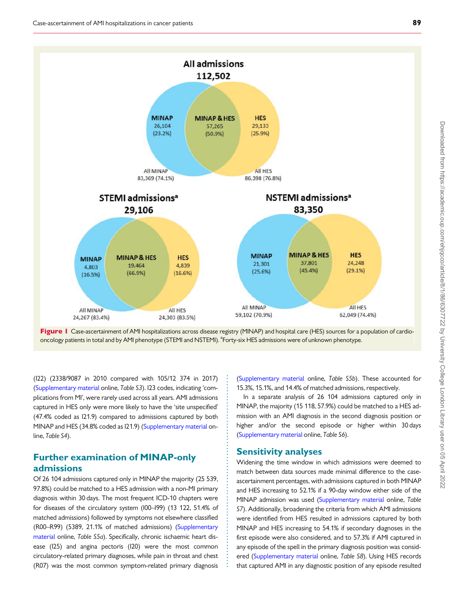<span id="page-3-0"></span>



. . . . . . . . . . . . . . . . . . . . . . . . . . . . . . . . . . . . . . . . . . . . . . . . . . . . . . . . . . . . . . .

. (I22) (2338/9087 in 2010 compared with 105/12 374 in 2017) [\(Supplementary material](https://academic.oup.com/ehjqcco/article-lookup/doi/10.1093/ehjqcco/qcab045#supplementary-data) online, Table S3). I23 codes, indicating 'complications from MI', were rarely used across all years. AMI admissions captured in HES only were more likely to have the 'site unspecified' (47.4% coded as I21.9) compared to admissions captured by both MINAP and HES (34.8% coded as I21.9) ([Supplementary material](https://academic.oup.com/ehjqcco/article-lookup/doi/10.1093/ehjqcco/qcab045#supplementary-data) online, Table S4).

### Further examination of MINAP-only admissions

Of 26 104 admissions captured only in MINAP the majority (25 539, 97.8%) could be matched to a HES admission with a non-MI primary diagnosis within 30 days. The most frequent ICD-10 chapters were for diseases of the circulatory system (I00–I99) (13 122, 51.4% of matched admissions) followed by symptoms not elsewhere classified (R00–R99) (5389, 21.1% of matched admissions) ([Supplementary](https://academic.oup.com/ehjqcco/article-lookup/doi/10.1093/ehjqcco/qcab045#supplementary-data) [material](https://academic.oup.com/ehjqcco/article-lookup/doi/10.1093/ehjqcco/qcab045#supplementary-data) online, Table S5a). Specifically, chronic ischaemic heart disease (I25) and angina pectoris (I20) were the most common circulatory-related primary diagnoses, while pain in throat and chest (R07) was the most common symptom-related primary diagnosis ([Supplementary material](https://academic.oup.com/ehjqcco/article-lookup/doi/10.1093/ehjqcco/qcab045#supplementary-data) online, Table S5b). These accounted for 15.3%, 15.1%, and 14.4% of matched admissions, respectively.

In a separate analysis of 26 104 admissions captured only in MINAP, the majority (15 118, 57.9%) could be matched to a HES admission with an AMI diagnosis in the second diagnosis position or higher and/or the second episode or higher within 30 days ([Supplementary material](https://academic.oup.com/ehjqcco/article-lookup/doi/10.1093/ehjqcco/qcab045#supplementary-data) online, Table S6).

#### Sensitivity analyses

Widening the time window in which admissions were deemed to match between data sources made minimal difference to the caseascertainment percentages, with admissions captured in both MINAP and HES increasing to 52.1% if a 90-day window either side of the MINAP admission was used [\(Supplementary material](https://academic.oup.com/ehjqcco/article-lookup/doi/10.1093/ehjqcco/qcab045#supplementary-data) online, Table S7). Additionally, broadening the criteria from which AMI admissions were identified from HES resulted in admissions captured by both MINAP and HES increasing to 54.1% if secondary diagnoses in the first episode were also considered, and to 57.3% if AMI captured in any episode of the spell in the primary diagnosis position was considered ([Supplementary material](https://academic.oup.com/ehjqcco/article-lookup/doi/10.1093/ehjqcco/qcab045#supplementary-data) online, Table S8). Using HES records that captured AMI in any diagnostic position of any episode resulted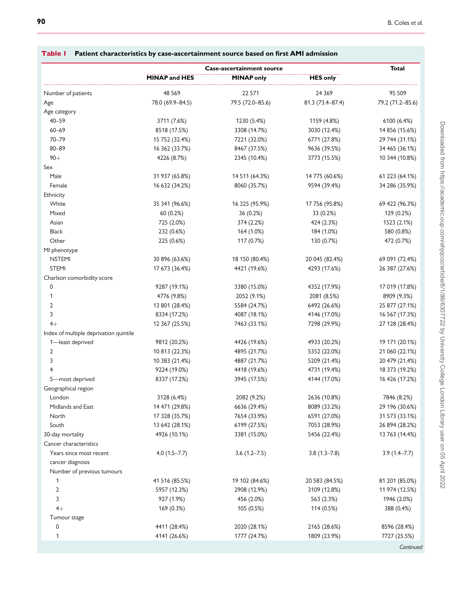|                                        | Case-ascertainment source |                   |                  | Total            |  |
|----------------------------------------|---------------------------|-------------------|------------------|------------------|--|
|                                        | <b>MINAP and HES</b>      | <b>MINAP only</b> | <b>HES only</b>  |                  |  |
| Number of patients                     | 48 5 69                   | 22 571            | 24 3 6 9         | 95 509           |  |
| Age                                    | 78.0 (69.9-84.5)          | 79.5 (72.0-85.6)  | 81.3 (73.4-87.4) | 79.2 (71.2-85.6) |  |
| Age category                           |                           |                   |                  |                  |  |
| $40 - 59$                              | 3711 (7.6%)               | 1230 (5.4%)       | 1159 (4.8%)      | 6100 (6.4%)      |  |
| $60 - 69$                              | 8518 (17.5%)              | 3308 (14.7%)      | 3030 (12.4%)     | 14 856 (15.6%)   |  |
| $70 - 79$                              | 15 752 (32.4%)            | 7221 (32.0%)      | 6771 (27.8%)     | 29 744 (31.1%)   |  |
| $80 - 89$                              | 16 362 (33.7%)            | 8467 (37.5%)      | 9636 (39.5%)     | 34 465 (36.1%)   |  |
| $90+$                                  | 4226 (8.7%)               | 2345 (10.4%)      | 3773 (15.5%)     | 10 344 (10.8%)   |  |
| Sex                                    |                           |                   |                  |                  |  |
| Male                                   | 31 937 (65.8%)            | 14 511 (64.3%)    | 14 775 (60.6%)   | 61 223 (64.1%)   |  |
| Female                                 | 16 632 (34.2%)            | 8060 (35.7%)      | 9594 (39.4%)     | 34 286 (35.9%)   |  |
| Ethnicity                              |                           |                   |                  |                  |  |
| White                                  | 35 341 (96.6%)            | 16 325 (95.9%)    | 17 756 (95.8%)   | 69 422 (96.3%)   |  |
| Mixed                                  | 60 (0.2%)                 | 36 (0.2%)         | 33 (0.2%)        | 129 (0.2%)       |  |
| Asian                                  | 725 (2.0%)                | 374 (2.2%)        | 424 (2.3%)       | 1523 (2.1%)      |  |
| <b>Black</b>                           | 232 (0.6%)                | 164 (1.0%)        | 184 (1.0%)       | 580 (0.8%)       |  |
| Other                                  | 225 (0.6%)                | 117 (0.7%)        | 130 (0.7%)       | 472 (0.7%)       |  |
| MI phenotype                           |                           |                   |                  |                  |  |
| <b>NSTEMI</b>                          | 30 896 (63.6%)            | 18 150 (80.4%)    | 20 045 (82.4%)   | 69 091 (72.4%)   |  |
| <b>STEMI</b>                           | 17 673 (36.4%)            | 4421 (19.6%)      | 4293 (17.6%)     | 26 387 (27.6%)   |  |
| Charlson comorbidity score             |                           |                   |                  |                  |  |
| 0                                      | 9287 (19.1%)              | 3380 (15.0%)      | 4352 (17.9%)     | 17 019 (17.8%)   |  |
| 1                                      | 4776 (9.8%)               | 2052 (9.1%)       | 2081 (8.5%)      | 8909 (9.3%)      |  |
| $\overline{2}$                         | 13 801 (28.4%)            | 5584 (24.7%)      | 6492 (26.6%)     | 25 877 (27.1%)   |  |
| 3                                      | 8334 (17.2%)              | 4087 (18.1%)      | 4146 (17.0%)     | 16 567 (17.3%)   |  |
| $4+$                                   | 12 367 (25.5%)            | 7463 (33.1%)      | 7298 (29.9%)     | 27 128 (28.4%)   |  |
| Index of multiple deprivation quintile |                           |                   |                  |                  |  |
| 1-least deprived                       | 9812 (20.2%)              | 4426 (19.6%)      | 4933 (20.2%)     | 19 171 (20.1%)   |  |
| $\overline{2}$                         | 10 813 (22.3%)            | 4895 (21.7%)      | 5352 (22.0%)     | 21 060 (22.1%)   |  |
| 3                                      | 10 383 (21.4%)            | 4887 (21.7%)      | 5209 (21.4%)     | 20 479 (21.4%)   |  |
| 4                                      | 9224 (19.0%)              | 4418 (19.6%)      | 4731 (19.4%)     | 18 373 (19.2%)   |  |
| 5-most deprived                        | 8337 (17.2%)              | 3945 (17.5%)      | 4144 (17.0%)     | 16 426 (17.2%)   |  |
| Geographical region                    |                           |                   |                  |                  |  |
| London                                 | 3128 (6.4%)               | 2082 (9.2%)       | 2636 (10.8%)     | 7846 (8.2%)      |  |
| Midlands and East                      | 14 471 (29.8%)            | 6636 (29.4%)      | 8089 (33.2%)     | 29 196 (30.6%)   |  |
| North                                  | 17 328 (35.7%)            | 7654 (33.9%)      | 6591 (27.0%)     | 31 573 (33.1%)   |  |
| South                                  | 13 642 (28.1%)            | 6199 (27.5%)      | 7053 (28.9%)     | 26 894 (28.2%)   |  |
| 30-day mortality                       | 4926 (10.1%)              | 3381 (15.0%)      | 5456 (22.4%)     | 13 763 (14.4%)   |  |
| Cancer characteristics                 |                           |                   |                  |                  |  |
| Years since most recent                | $4.0(1.5-7.7)$            | $3.6(1.2 - 7.5)$  | $3.8(1.3 - 7.8)$ | $3.9(1.4 - 7.7)$ |  |
| cancer diagnosis                       |                           |                   |                  |                  |  |
| Number of previous tumours             |                           |                   |                  |                  |  |
| 1                                      | 41 516 (85.5%)            | 19 102 (84.6%)    | 20 583 (84.5%)   | 81 201 (85.0%)   |  |
| 2                                      | 5957 (12.3%)              | 2908 (12.9%)      | 3109 (12.8%)     | 11 974 (12.5%)   |  |
| 3                                      | 927 (1.9%)                | 456 (2.0%)        | 563 (2.3%)       | 1946 (2.0%)      |  |
| $4+$                                   | 169 (0.3%)                | 105 (0.5%)        | 114 (0.5%)       | 388 (0.4%)       |  |
| Tumour stage                           |                           |                   |                  |                  |  |
| 0                                      | 4411 (28.4%)              | 2020 (28.1%)      | 2165 (28.6%)     | 8596 (28.4%)     |  |
| 1                                      | 4141 (26.6%)              | 1777 (24.7%)      | 1809 (23.9%)     | 7727 (25.5%)     |  |
|                                        |                           |                   |                  | Continued        |  |

### <span id="page-4-0"></span>Table 1 Patient characteristics by case-ascertainment source based on first AMI admission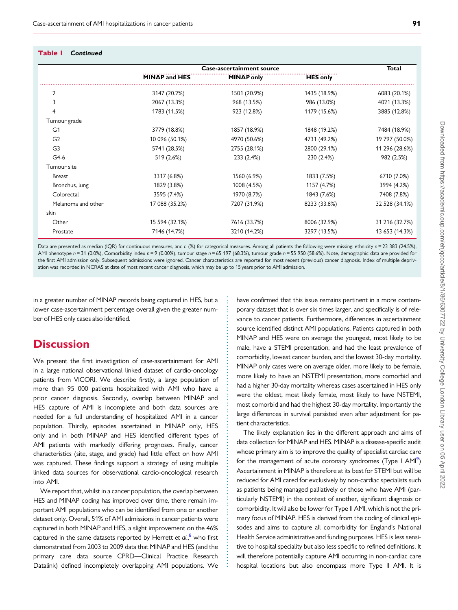#### Table 1 Continued

|                    | <b>Case-ascertainment source</b> |                   |                 | <b>Total</b>   |
|--------------------|----------------------------------|-------------------|-----------------|----------------|
|                    | <b>MINAP and HES</b>             | <b>MINAP only</b> | <b>HES only</b> |                |
| $\overline{2}$     | 3147 (20.2%)                     | 1501 (20.9%)      | 1435 (18.9%)    | 6083 (20.1%)   |
| 3                  | 2067 (13.3%)                     | 968 (13.5%)       | 986 (13.0%)     | 4021 (13.3%)   |
| 4                  | 1783 (11.5%)                     | 923 (12.8%)       | 1179 (15.6%)    | 3885 (12.8%)   |
| Tumour grade       |                                  |                   |                 |                |
| G <sub>1</sub>     | 3779 (18.8%)                     | 1857 (18.9%)      | 1848 (19.2%)    | 7484 (18.9%)   |
| G <sub>2</sub>     | 10 096 (50.1%)                   | 4970 (50.6%)      | 4731 (49.2%)    | 19 797 (50.0%) |
| G <sub>3</sub>     | 5741 (28.5%)                     | 2755 (28.1%)      | 2800 (29.1%)    | 11 296 (28.6%) |
| $G4-6$             | 519 (2.6%)                       | 233 (2.4%)        | 230 (2.4%)      | 982 (2.5%)     |
| Tumour site        |                                  |                   |                 |                |
| <b>Breast</b>      | 3317 (6.8%)                      | 1560 (6.9%)       | 1833 (7.5%)     | 6710 (7.0%)    |
| Bronchus, lung     | 1829 (3.8%)                      | 1008 (4.5%)       | 1157 (4.7%)     | 3994 (4.2%)    |
| Colorectal         | 3595 (7.4%)                      | 1970 (8.7%)       | 1843 (7.6%)     | 7408 (7.8%)    |
| Melanoma and other | 17 088 (35.2%)                   | 7207 (31.9%)      | 8233 (33.8%)    | 32 528 (34.1%) |
| skin               |                                  |                   |                 |                |
| Other              | 15 594 (32.1%)                   | 7616 (33.7%)      | 8006 (32.9%)    | 31 216 (32.7%) |
| Prostate           | 7146 (14.7%)                     | 3210 (14.2%)      | 3297 (13.5%)    | 13 653 (14.3%) |

Data are presented as median (IQR) for continuous measures, and n (%) for categorical measures. Among all patients the following were missing: ethnicity n = 23 383 (24.5%), AMI phenotype  $n = 31$  (0.0%), Comorbidity index  $n = 9$  (0.00%), tumour stage  $n = 65$  197 (68.3%), tumour grade  $n = 55$  950 (58.6%). Note, demographic data are provided for the first AMI admission only. Subsequent admissions were ignored. Cancer characteristics are reported for most recent (previous) cancer diagnosis. Index of multiple deprivation was recorded in NCRAS at date of most recent cancer diagnosis, which may be up to 15 years prior to AMI admission.

> . . . . . . . . . . . . . . . . . . . . . . . . . . . . . . . . . . . . . . . . . . . . . . . . . . . . . . . . . . . . . . . . . . . . . . . . . . . . . . . . . . . . . . . . .

in a greater number of MINAP records being captured in HES, but a lower case-ascertainment percentage overall given the greater number of HES only cases also identified.

## **Discussion**

We present the first investigation of case-ascertainment for AMI in a large national observational linked dataset of cardio-oncology patients from VICORI. We describe firstly, a large population of more than 95 000 patients hospitalized with AMI who have a prior cancer diagnosis. Secondly, overlap between MINAP and HES capture of AMI is incomplete and both data sources are needed for a full understanding of hospitalized AMI in a cancer population. Thirdly, episodes ascertained in MINAP only, HES only and in both MINAP and HES identified different types of AMI patients with markedly differing prognoses. Finally, cancer characteristics (site, stage, and grade) had little effect on how AMI was captured. These findings support a strategy of using multiple linked data sources for observational cardio-oncological research into AMI.

We report that, whilst in a cancer population, the overlap between HES and MINAP coding has improved over time, there remain important AMI populations who can be identified from one or another dataset only. Overall, 51% of AMI admissions in cancer patients were captured in both MINAP and HES, a slight improvement on the 46% captured in the same datasets reported by Herrett et al., <sup>[8](#page-9-0)</sup> who first demonstrated from 2003 to 2009 data that MINAP and HES (and the primary care data source CPRD—Clinical Practice Research Datalink) defined incompletely overlapping AMI populations. We have confirmed that this issue remains pertinent in a more contemporary dataset that is over six times larger, and specifically is of relevance to cancer patients. Furthermore, differences in ascertainment source identified distinct AMI populations. Patients captured in both MINAP and HES were on average the youngest, most likely to be male, have a STEMI presentation, and had the least prevalence of comorbidity, lowest cancer burden, and the lowest 30-day mortality. MINAP only cases were on average older, more likely to be female, more likely to have an NSTEMI presentation, more comorbid and had a higher 30-day mortality whereas cases ascertained in HES only were the oldest, most likely female, most likely to have NSTEMI, most comorbid and had the highest 30-day mortality. Importantly the large differences in survival persisted even after adjustment for patient characteristics.

The likely explanation lies in the different approach and aims of data collection for MINAP and HES. MINAP is a disease-specific audit whose primary aim is to improve the quality of specialist cardiac care for the management of acute coronary syndromes (Type I AMI<sup>[9](#page-9-0)</sup>) Ascertainment in MINAP is therefore at its best for STEMI but will be reduced for AMI cared for exclusively by non-cardiac specialists such as patients being managed palliatively or those who have AMI (particularly NSTEMI) in the context of another, significant diagnosis or comorbidity. It will also be lower for Type II AMI, which is not the primary focus of MINAP. HES is derived from the coding of clinical episodes and aims to capture all comorbidity for England's National Health Service administrative and funding purposes. HES is less sensitive to hospital speciality but also less specific to refined definitions. It will therefore potentially capture AMI occurring in non-cardiac care hospital locations but also encompass more Type II AMI. It is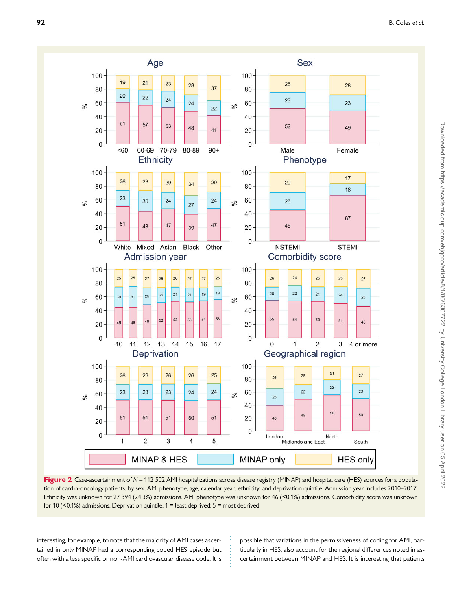<span id="page-6-0"></span>

Figure 2 Case-ascertainment of N = 112 502 AMI hospitalizations across disease registry (MINAP) and hospital care (HES) sources for a population of cardio-oncology patients, by sex, AMI phenotype, age, calendar year, ethnicity, and deprivation quintile. Admission year includes 2010–2017. Ethnicity was unknown for 27 394 (24.3%) admissions. AMI phenotype was unknown for 46 (<0.1%) admissions. Comorbidity score was unknown for 10 (<0.1%) admissions. Deprivation quintile:  $1 =$  least deprived;  $5 =$  most deprived.

. . . . . . . . . .

. interesting, for example, to note that the majority of AMI cases ascertained in only MINAP had a corresponding coded HES episode but often with a less specific or non-AMI cardiovascular disease code. It is possible that variations in the permissiveness of coding for AMI, particularly in HES, also account for the regional differences noted in ascertainment between MINAP and HES. It is interesting that patients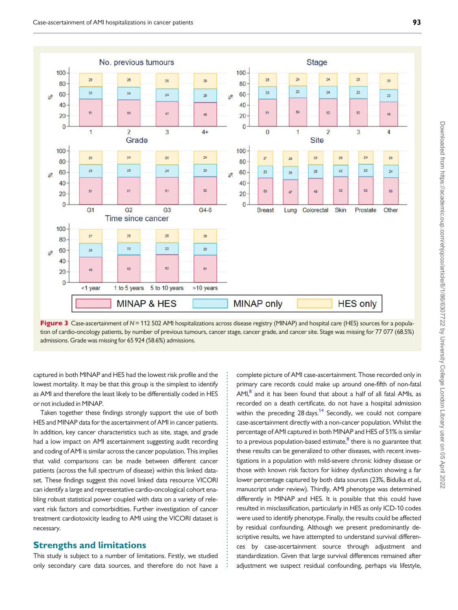<span id="page-7-0"></span>



. . . . . . . . . . . . . . . . . . . . . . . . . . . . . . . . . . . . . . . . . . . . . . . . . . . . . . . . . . . . . . . .

captured in both MINAP and HES had the lowest risk profile and the lowest mortality. It may be that this group is the simplest to identify as AMI and therefore the least likely to be differentially coded in HES or not included in MINAP.

Taken together these findings strongly support the use of both HES and MINAP data for the ascertainment of AMI in cancer patients. In addition, key cancer characteristics such as site, stage, and grade had a low impact on AMI ascertainment suggesting audit recording and coding of AMI is similar across the cancer population. This implies that valid comparisons can be made between different cancer patients (across the full spectrum of disease) within this linked dataset. These findings suggest this novel linked data resource VICORI can identify a large and representative cardio-oncological cohort enabling robust statistical power coupled with data on a variety of relevant risk factors and comorbidities. Further investigation of cancer treatment cardiotoxicity leading to AMI using the VICORI dataset is necessary.

#### Strengths and limitations

This study is subject to a number of limitations. Firstly, we studied only secondary care data sources, and therefore do not have a complete picture of AMI case-ascertainment. Those recorded only in primary care records could make up around one-fifth of non-fatal  $AMI<sub>18</sub><sup>8</sup>$  and it has been found that about a half of all fatal AMIs, as recorded on a death certificate, do not have a hospital admission within the preceding  $28 \text{ days}$ .<sup>14</sup> Secondly, we could not compare case-ascertainment directly with a non-cancer population. Whilst the percentage of AMI captured in both MINAP and HES of 51% is similar to a previous population-based estimate, $8$  there is no guarantee that these results can be generalized to other diseases, with recent investigations in a population with mild-severe chronic kidney disease or those with known risk factors for kidney dysfunction showing a far lower percentage captured by both data sources (23%, Bidulka et al., manuscript under review). Thirdly, AMI phenotype was determined differently in MINAP and HES. It is possible that this could have resulted in misclassification, particularly in HES as only ICD-10 codes were used to identify phenotype. Finally, the results could be affected by residual confounding. Although we present predominantly descriptive results, we have attempted to understand survival differences by case-ascertainment source through adjustment and standardization. Given that large survival differences remained after adjustment we suspect residual confounding, perhaps via lifestyle,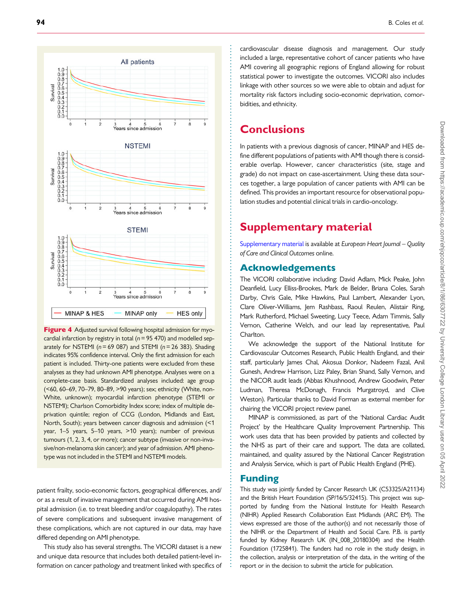<span id="page-8-0"></span>

Figure 4 Adjusted survival following hospital admission for myocardial infarction by registry in total ( $n = 95$  470) and modelled separately for NSTEMI ( $n = 69$  087) and STEMI ( $n = 26$  383). Shading indicates 95% confidence interval. Only the first admission for each patient is included. Thirty-one patients were excluded from these analyses as they had unknown AMI phenotype. Analyses were on a complete-case basis. Standardized analyses included: age group (<60, 60–69, 70–79, 80–89, >90 years); sex; ethnicity (White, non-White, unknown); myocardial infarction phenotype (STEMI or NSTEMI); Charlson Comorbidity Index score; index of multiple deprivation quintile; region of CCG (London, Midlands and East, North, South); years between cancer diagnosis and admission (<1 year, 1–5 years, 5–10 years, >10 years); number of previous tumours (1, 2, 3, 4, or more); cancer subtype (invasive or non-invasive/non-melanoma skin cancer); and year of admission. AMI phenotype was not included in the STEMI and NSTEMI models.

patient frailty, socio-economic factors, geographical differences, and/ or as a result of invasive management that occurred during AMI hospital admission (i.e. to treat bleeding and/or coagulopathy). The rates of severe complications and subsequent invasive management of these complications, which are not captured in our data, may have differed depending on AMI phenotype.

This study also has several strengths. The VICORI dataset is a new and unique data resource that includes both detailed patient-level information on cancer pathology and treatment linked with specifics of

cardiovascular disease diagnosis and management. Our study included a large, representative cohort of cancer patients who have AMI covering all geographic regions of England allowing for robust statistical power to investigate the outcomes. VICORI also includes linkage with other sources so we were able to obtain and adjust for mortality risk factors including socio-economic deprivation, comorbidities, and ethnicity.

# **Conclusions**

In patients with a previous diagnosis of cancer, MINAP and HES define different populations of patients with AMI though there is considerable overlap. However, cancer characteristics (site, stage and grade) do not impact on case-ascertainment. Using these data sources together, a large population of cancer patients with AMI can be defined. This provides an important resource for observational population studies and potential clinical trials in cardio-oncology.

# Supplementary material

[Supplementary material](https://academic.oup.com/ehjqcco/article-lookup/doi/10.1093/ehjqcco/qcab045#supplementary-data) is available at European Heart Journal – Quality of Care and Clinical Outcomes online.

### Acknowledgements

The VICORI collaborative including: David Adlam, Mick Peake, John Deanfield, Lucy Elliss-Brookes, Mark de Belder, Briana Coles, Sarah Darby, Chris Gale, Mike Hawkins, Paul Lambert, Alexander Lyon, Clare Oliver-Williams, Jem Rashbass, Raoul Reulen, Alistair Ring, Mark Rutherford, Michael Sweeting, Lucy Teece, Adam Timmis, Sally Vernon, Catherine Welch, and our lead lay representative, Paul Charlton.

We acknowledge the support of the National Institute for Cardiovascular Outcomes Research, Public Health England, and their staff, particularly James Chal, Akosua Donkor, Nadeem Fazal, Anil Gunesh, Andrew Harrison, Lizz Paley, Brian Shand, Sally Vernon, and the NICOR audit leads (Abbas Khushnood, Andrew Goodwin, Peter Ludman, Theresa McDonagh, Francis Murgatroyd, and Clive Weston). Particular thanks to David Forman as external member for chairing the VICORI project review panel.

MINAP is commissioned, as part of the 'National Cardiac Audit Project' by the Healthcare Quality Improvement Partnership. This work uses data that has been provided by patients and collected by the NHS as part of their care and support. The data are collated, maintained, and quality assured by the National Cancer Registration and Analysis Service, which is part of Public Health England (PHE).

#### Funding

. . . . . . . . . . . . . . . . . . . . . . . . . . . . . . . . . . . . . . . . . . . . . . . . . . . . . . . . . . . . . . . . . . . . . . . . . . . . . . . . . . . . . . . . . . . . . . . . . . . . . . . . . . . . . . . . . . . . . . . . . . . . . . . . . . . . . . . . . . . . . . . . . . . . . . . . . . . . . . . . . . . . . . . . . . . . .

This study was jointly funded by Cancer Research UK (C53325/A21134) and the British Heart Foundation (SP/16/5/32415). This project was supported by funding from the National Institute for Health Research (NIHR) Applied Research Collaboration East Midlands (ARC EM). The views expressed are those of the author(s) and not necessarily those of the NIHR or the Department of Health and Social Care. P.B. is partly funded by Kidney Research UK (IN\_008\_20180304) and the Health Foundation (1725841). The funders had no role in the study design, in the collection, analysis or interpretation of the data, in the writing of the report or in the decision to submit the article for publication.